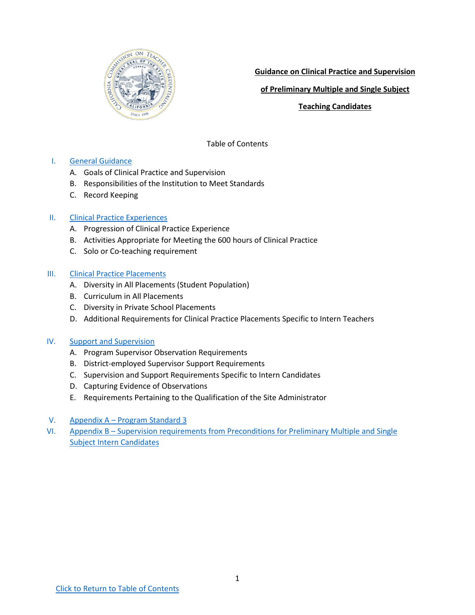<span id="page-0-0"></span>

**Guidance on Clinical Practice and Supervision**

**of Preliminary Multiple and Single Subject**

**Teaching Candidates**

Table of Contents

## I. [General Guidance](#page-1-0)

- A. [Goals of Clinical Practice and Supervision](#page-1-0)
- B. Responsibilities [of the Institution to Meet Standards](#page-1-0)
- C. [Record Keeping](#page-2-0)

## II. [Clinical Practice Experiences](#page-2-0)

- A. [Progression of Clinical Practice Experience](#page-2-0)
- B. Activities [Appropriate for Meeting the](#page-2-0) 600 hours of Clinical Practice
- C. [Solo or Co-teaching requirement](#page-3-0)

### III. [Clinical Practice Placements](#page-4-0)

- A. [Diversity in All Placements \(Student Population\)](#page-4-0)
- B. Curriculum [in All Placements](#page-4-0)
- [C. Diversity in Private School Placements](#page-4-0)
- D. [Additional Requirements for](#page-5-0) Clinical Practice Placements Specific to Intern Teachers

## IV. [Support and](#page-6-0) Supervision

- A. Program Supervisor [Observation Requirements](#page-6-0)
- B. District-employed Supervisor [Support Requirements](#page-6-0)
- C. Supervision and Support [Requirements Specific to](#page-7-0) Intern Candidates
- D. [Capturing Evidence of Observations](#page-7-0)
- E. [Requirements Pertaining to the Qualification of](#page-7-0) the Site Administrator
- V. Appendix A [Program Standard 3](#page-9-0)
- VI. Appendix B Supervision requirements from [Preconditions for Preliminary Multiple and Single](#page-11-0) Subject Intern Candidates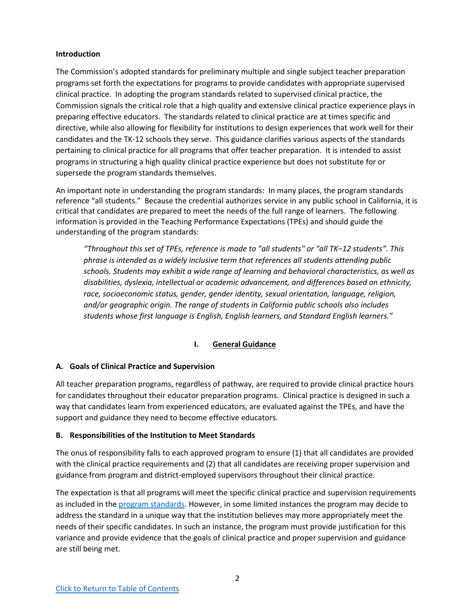#### <span id="page-1-0"></span>**Introduction**

The Commission's adopted standards for preliminary multiple and single subject teacher preparation programs set forth the expectations for programs to provide candidates with appropriate supervised clinical practice. In adopting the program standards related to supervised clinical practice, the Commission signals the critical role that a high quality and extensive clinical practice experience plays in preparing effective educators. The standards related to clinical practice are at times specific and directive, while also allowing for flexibility for institutions to design experiences that work well for their candidates and the TK-12 schools they serve. This guidance clarifies various aspects of the standards pertaining to clinical practice for all programs that offer teacher preparation. It is intended to assist programs in structuring a high quality clinical practice experience but does not substitute for or supersede the program standards themselves.

<span id="page-1-1"></span>An important note in understanding the program standards: In many places, the program standards reference "all students." Because the credential authorizes service in any public school in California, it is critical that candidates are prepared to meet the needs of the full range of learners. The following information is provided in the Teaching Performance Expectations (TPEs) and should guide the understanding of the program standards:

*"Throughout this set of TPEs, reference is made to "all students" or "all TK–12 students". This phrase is intended as a widely inclusive term that references all students attending public schools. Students may exhibit a wide range of learning and behavioral characteristics, as well as disabilities, dyslexia, intellectual or academic advancement, and differences based on ethnicity, race, socioeconomic status, gender, gender identity, sexual orientation, language, religion, and/or geographic origin. The range of students in California public schools also includes students whose first language is English, English learners, and Standard English learners."*

# **I. General Guidance**

### **A. Goals of Clinical Practice and Supervision**

All teacher preparation programs, regardless of pathway, are required to provide clinical practice hours for candidates throughout their educator preparation programs. Clinical practice is designed in such a way that candidates learn from experienced educators, are evaluated against the TPEs, and have the support and guidance they need to become effective educators.

### **B. Responsibilities of the Institution to Meet Standards**

The onus of responsibility falls to each approved program to ensure (1) that all candidates are provided with the clinical practice requirements and (2) that all candidates are receiving proper supervision and guidance from program and district-employed supervisors throughout their clinical practice.

The expectation is that all programs will meet the specific clinical practice and supervision requirements as included in the [program standards.](#page-9-1) However, in some limited instances the program may decide to address the standard in a unique way that the institution believes may more appropriately meet the needs of their specific candidates. In such an instance, the program must provide justification for this variance and provide evidence that the goals of clinical practice and proper supervision and guidance are still being met.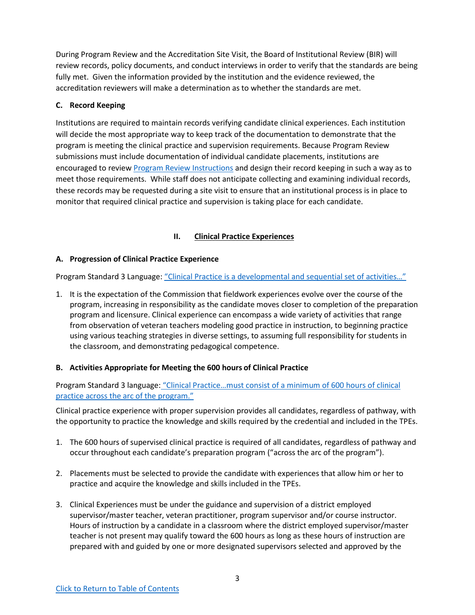<span id="page-2-0"></span>During Program Review and the Accreditation Site Visit, the Board of Institutional Review (BIR) will review records, policy documents, and conduct interviews in order to verify that the standards are being fully met. Given the information provided by the institution and the evidence reviewed, the accreditation reviewers will make a determination as to whether the standards are met.

# **C. Record Keeping**

Institutions are required to maintain records verifying candidate clinical experiences. Each institution will decide the most appropriate way to keep track of the documentation to demonstrate that the program is meeting the clinical practice and supervision requirements. Because Program Review submissions must include documentation of individual candidate placements, institutions are encouraged to review [Program Review Instructions](https://www.ctc.ca.gov/docs/default-source/educator-prep/accred-files/pr-prelim-prog-review-sub-instructions.pdf?sfvrsn=f335a883_2) and design their record keeping in such a way as to meet those requirements. While staff does not anticipate collecting and examining individual records, these records may be requested during a site visit to ensure that an institutional process is in place to monitor that required clinical practice and supervision is taking place for each candidate.

# **II. Clinical Practice Experiences**

# **A. Progression of Clinical Practice Experience**

Program Standard 3 Language: ["Clinical Practice is a developmental and sequential set of activities…"](#page-9-2)

1. It is the expectation of the Commission that fieldwork experiences evolve over the course of the program, increasing in responsibility as the candidate moves closer to completion of the preparation program and licensure. Clinical experience can encompass a wide variety of activities that range from observation of veteran teachers modeling good practice in instruction, to beginning practice using various teaching strategies in diverse settings, to assuming full responsibility for students in the classroom, and demonstrating pedagogical competence.

# **B. Activities Appropriate for Meeting the 600 hours of Clinical Practice**

Program Standard 3 language: ["Clinical Practice…must consist of a minimum of 600 hours of clinical](#page-9-3) [practice across the arc of the program."](#page-9-3)

Clinical practice experience with proper supervision provides all candidates, regardless of pathway, with the opportunity to practice the knowledge and skills required by the credential and included in the TPEs.

- 1. The 600 hours of supervised clinical practice is required of all candidates, regardless of pathway and occur throughout each candidate's preparation program ("across the arc of the program").
- 2. Placements must be selected to provide the candidate with experiences that allow him or her to practice and acquire the knowledge and skills included in the TPEs.
- 3. Clinical Experiences must be under the guidance and supervision of a district employed supervisor/master teacher, veteran practitioner, program supervisor and/or course instructor. Hours of instruction by a candidate in a classroom where the district employed supervisor/master teacher is not present may qualify toward the 600 hours as long as these hours of instruction are prepared with and guided by one or more designated supervisors selected and approved by the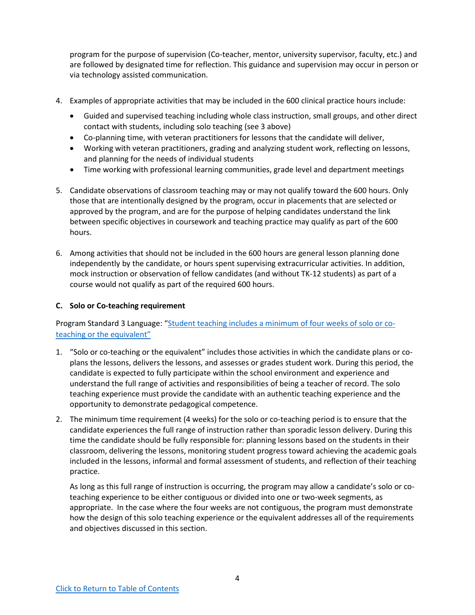<span id="page-3-0"></span>program for the purpose of supervision (Co-teacher, mentor, university supervisor, faculty, etc.) and are followed by designated time for reflection. This guidance and supervision may occur in person or via technology assisted communication.

- 4. Examples of appropriate activities that may be included in the 600 clinical practice hours include:
	- Guided and supervised teaching including whole class instruction, small groups, and other direct contact with students, including solo teaching (see 3 above)
	- Co-planning time, with veteran practitioners for lessons that the candidate will deliver,
	- Working with veteran practitioners, grading and analyzing student work, reflecting on lessons, and planning for the needs of individual students
	- Time working with professional learning communities, grade level and department meetings
- 5. Candidate observations of classroom teaching may or may not qualify toward the 600 hours. Only those that are intentionally designed by the program, occur in placements that are selected or approved by the program, and are for the purpose of helping candidates understand the link between specific objectives in coursework and teaching practice may qualify as part of the 600 hours.
- 6. Among activities that should not be included in the 600 hours are general lesson planning done independently by the candidate, or hours spent supervising extracurricular activities. In addition, mock instruction or observation of fellow candidates (and without TK-12 students) as part of a course would not qualify as part of the required 600 hours.

## **C. Solo or Co-teaching requirement**

Program Standard 3 Language: "[Student teaching includes a minimum of four weeks of solo or co](#page-9-4)[teaching or the equivalent"](#page-9-4)

- 1. "Solo or co-teaching or the equivalent" includes those activities in which the candidate plans or coplans the lessons, delivers the lessons, and assesses or grades student work. During this period, the candidate is expected to fully participate within the school environment and experience and understand the full range of activities and responsibilities of being a teacher of record. The solo teaching experience must provide the candidate with an authentic teaching experience and the opportunity to demonstrate pedagogical competence.
- 2. The minimum time requirement (4 weeks) for the solo or co-teaching period is to ensure that the candidate experiences the full range of instruction rather than sporadic lesson delivery. During this time the candidate should be fully responsible for: planning lessons based on the students in their classroom, delivering the lessons, monitoring student progress toward achieving the academic goals included in the lessons, informal and formal assessment of students, and reflection of their teaching practice.

As long as this full range of instruction is occurring, the program may allow a candidate's solo or coteaching experience to be either contiguous or divided into one or two-week segments, as appropriate. In the case where the four weeks are not contiguous, the program must demonstrate how the design of this solo teaching experience or the equivalent addresses all of the requirements and objectives discussed in this section.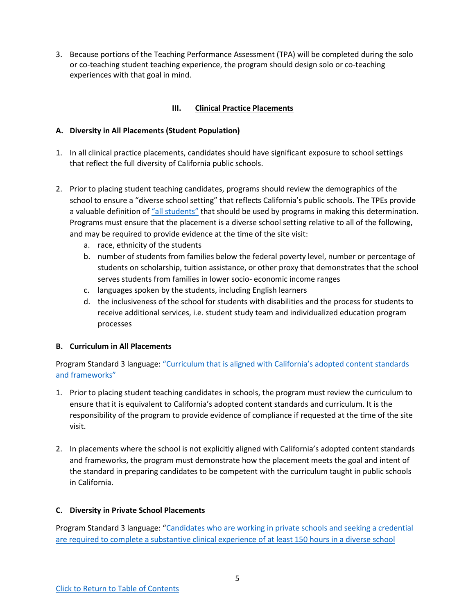<span id="page-4-0"></span>3. Because portions of the Teaching Performance Assessment (TPA) will be completed during the solo or co-teaching student teaching experience, the program should design solo or co-teaching experiences with that goal in mind.

# **III. Clinical Practice Placements**

# **A. Diversity in All Placements (Student Population)**

- 1. In all clinical practice placements, candidates should have significant exposure to school settings that reflect the full diversity of California public schools.
- 2. Prior to placing student teaching candidates, programs should review the demographics of the school to ensure a "diverse school setting" that reflects California's public schools. The TPEs provide a valuable definition of ["all students"](#page-1-1) that should be used by programs in making this determination. Programs must ensure that the placement is a diverse school setting relative to all of the following, and may be required to provide evidence at the time of the site visit:
	- a. race, ethnicity of the students
	- b. number of students from families below the federal poverty level, number or percentage of students on scholarship, tuition assistance, or other proxy that demonstrates that the school serves students from families in lower socio- economic income ranges
	- c. languages spoken by the students, including English learners
	- d. the inclusiveness of the school for students with disabilities and the process for students to receive additional services, i.e. student study team and individualized education program processes

# **B. Curriculum in All Placements**

Program Standard 3 language: ["Curriculum that is aligned with California's adopted content standards](#page-10-0) [and frameworks"](#page-10-0)

- 1. Prior to placing student teaching candidates in schools, the program must review the curriculum to ensure that it is equivalent to California's adopted content standards and curriculum. It is the responsibility of the program to provide evidence of compliance if requested at the time of the site visit.
- 2. In placements where the school is not explicitly aligned with California's adopted content standards and frameworks, the program must demonstrate how the placement meets the goal and intent of the standard in preparing candidates to be competent with the curriculum taught in public schools in California.

# **C. Diversity in Private School Placements**

Program Standard 3 language: ["Candidates who are working in private schools and seeking a credential](#page-9-5) [are required to complete a substantive clinical experience of at least 150 hours in a diverse school](#page-9-5)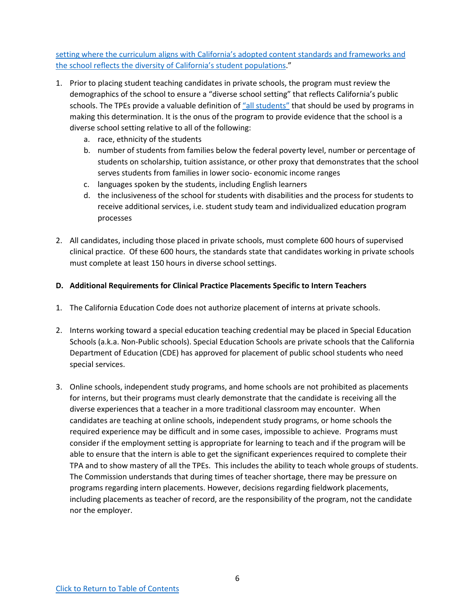<span id="page-5-0"></span>[setting where the curriculum aligns with California's adopted content standards and frameworks and](#page-9-5) [the school reflects the diversity of California's student populations.](#page-9-5)"

- 1. Prior to placing student teaching candidates in private schools, the program must review the demographics of the school to ensure a "diverse school setting" that reflects California's public schools. The TPEs provide a valuable definition of ["all students"](#page-1-1) that should be used by programs in making this determination. It is the onus of the program to provide evidence that the school is a diverse school setting relative to all of the following:
	- a. race, ethnicity of the students
	- b. number of students from families below the federal poverty level, number or percentage of students on scholarship, tuition assistance, or other proxy that demonstrates that the school serves students from families in lower socio- economic income ranges
	- c. languages spoken by the students, including English learners
	- d. the inclusiveness of the school for students with disabilities and the process for students to receive additional services, i.e. student study team and individualized education program processes
- 2. All candidates, including those placed in private schools, must complete 600 hours of supervised clinical practice. Of these 600 hours, the standards state that candidates working in private schools must complete at least 150 hours in diverse school settings.

## **D. Additional Requirements for Clinical Practice Placements Specific to Intern Teachers**

- 1. The California Education Code does not authorize placement of interns at private schools.
- 2. Interns working toward a special education teaching credential may be placed in Special Education Schools (a.k.a. Non-Public schools). Special Education Schools are private schools that the California Department of Education (CDE) has approved for placement of public school students who need special services.
- 3. Online schools, independent study programs, and home schools are not prohibited as placements for interns, but their programs must clearly demonstrate that the candidate is receiving all the diverse experiences that a teacher in a more traditional classroom may encounter. When candidates are teaching at online schools, independent study programs, or home schools the required experience may be difficult and in some cases, impossible to achieve. Programs must consider if the employment setting is appropriate for learning to teach and if the program will be able to ensure that the intern is able to get the significant experiences required to complete their TPA and to show mastery of all the TPEs. This includes the ability to teach whole groups of students. The Commission understands that during times of teacher shortage, there may be pressure on programs regarding intern placements. However, decisions regarding fieldwork placements, including placements as teacher of record, are the responsibility of the program, not the candidate nor the employer.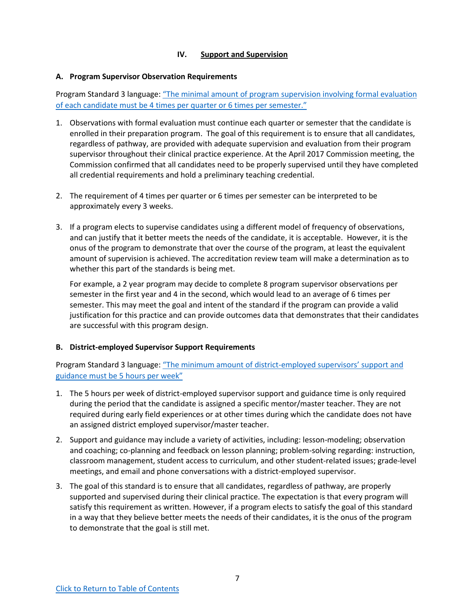## **IV. Support and Supervision**

#### <span id="page-6-0"></span>**A. Program Supervisor Observation Requirements**

Program Standard 3 language: ["The minimal amount of program supervision involving formal evaluation](#page-9-6) of each candidate must be 4 [times per quarter or 6 times per semester."](#page-9-6)

- 1. Observations with formal evaluation must continue each quarter or semester that the candidate is enrolled in their preparation program. The goal of this requirement is to ensure that all candidates, regardless of pathway, are provided with adequate supervision and evaluation from their program supervisor throughout their clinical practice experience. At the April 2017 Commission meeting, the Commission confirmed that all candidates need to be properly supervised until they have completed all credential requirements and hold a preliminary teaching credential.
- 2. The requirement of 4 times per quarter or 6 times per semester can be interpreted to be approximately every 3 weeks.
- 3. If a program elects to supervise candidates using a different model of frequency of observations, and can justify that it better meets the needs of the candidate, it is acceptable. However, it is the onus of the program to demonstrate that over the course of the program, at least the equivalent amount of supervision is achieved. The accreditation review team will make a determination as to whether this part of the standards is being met.

For example, a 2 year program may decide to complete 8 program supervisor observations per semester in the first year and 4 in the second, which would lead to an average of 6 times per semester. This may meet the goal and intent of the standard if the program can provide a valid justification for this practice and can provide outcomes data that demonstrates that their candidates are successful with this program design.

### **B. District-employed Supervisor Support Requirements**

Program Standard 3 language: ["The minimum amount of district-employed supervisors' support and](#page-9-7) [guidance must be 5 hours per week"](#page-9-7)

- 1. The 5 hours per week of district-employed supervisor support and guidance time is only required during the period that the candidate is assigned a specific mentor/master teacher. They are not required during early field experiences or at other times during which the candidate does not have an assigned district employed supervisor/master teacher.
- 2. Support and guidance may include a variety of activities, including: lesson-modeling; observation and coaching; co-planning and feedback on lesson planning; problem-solving regarding: instruction, classroom management, student access to curriculum, and other student-related issues; grade-level meetings, and email and phone conversations with a district-employed supervisor.
- 3. The goal of this standard is to ensure that all candidates, regardless of pathway, are properly supported and supervised during their clinical practice. The expectation is that every program will satisfy this requirement as written. However, if a program elects to satisfy the goal of this standard in a way that they believe better meets the needs of their candidates, it is the onus of the program to demonstrate that the goal is still met.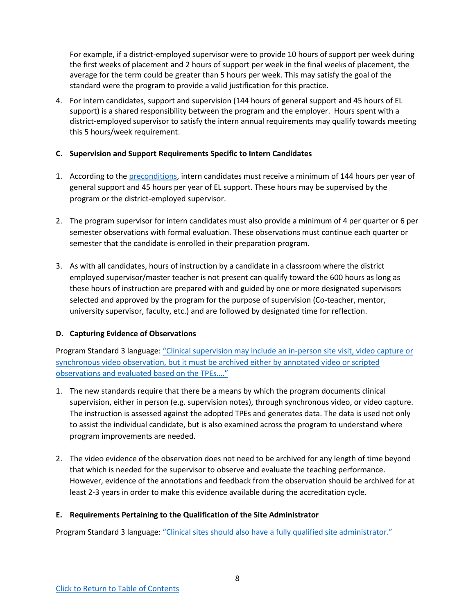<span id="page-7-0"></span>For example, if a district-employed supervisor were to provide 10 hours of support per week during the first weeks of placement and 2 hours of support per week in the final weeks of placement, the average for the term could be greater than 5 hours per week. This may satisfy the goal of the standard were the program to provide a valid justification for this practice.

4. For intern candidates, support and supervision (144 hours of general support and 45 hours of EL support) is a shared responsibility between the program and the employer. Hours spent with a district-employed supervisor to satisfy the intern annual requirements may qualify towards meeting this 5 hours/week requirement.

## **C. Supervision and Support Requirements Specific to Intern Candidates**

- 1. According to the [preconditions,](#page-11-1) intern candidates must receive a minimum of 144 hours per year of general support and 45 hours per year of EL support. These hours may be supervised by the program or the district-employed supervisor.
- 2. The program supervisor for intern candidates must also provide a minimum of 4 per quarter or 6 per semester observations with formal evaluation. These observations must continue each quarter or semester that the candidate is enrolled in their preparation program.
- 3. As with all candidates, hours of instruction by a candidate in a classroom where the district employed supervisor/master teacher is not present can qualify toward the 600 hours as long as these hours of instruction are prepared with and guided by one or more designated supervisors selected and approved by the program for the purpose of supervision (Co-teacher, mentor, university supervisor, faculty, etc.) and are followed by designated time for reflection.

# **D. Capturing Evidence of Observations**

Program Standard 3 language: ["Clinical supervision may include an in-person site visit, video capture or](#page-9-8) [synchronous video observation, but it must be archived either by annotated video or scripted](#page-9-8) [observations and evaluated based on the TPEs…."](#page-9-8)

- 1. The new standards require that there be a means by which the program documents clinical supervision, either in person (e.g. supervision notes), through synchronous video, or video capture. The instruction is assessed against the adopted TPEs and generates data. The data is used not only to assist the individual candidate, but is also examined across the program to understand where program improvements are needed.
- 2. The video evidence of the observation does not need to be archived for any length of time beyond that which is needed for the supervisor to observe and evaluate the teaching performance. However, evidence of the annotations and feedback from the observation should be archived for at least 2-3 years in order to make this evidence available during the accreditation cycle.

### **E. Requirements Pertaining to the Qualification of the Site Administrator**

Program Standard 3 language: ["Clinical sites should also have a fully qualified site administrator."](#page-10-1)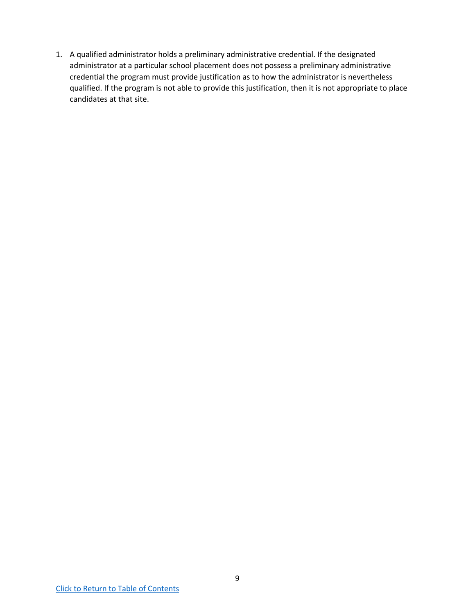1. A qualified administrator holds a preliminary administrative credential. If the designated administrator at a particular school placement does not possess a preliminary administrative credential the program must provide justification as to how the administrator is nevertheless qualified. If the program is not able to provide this justification, then it is not appropriate to place candidates at that site.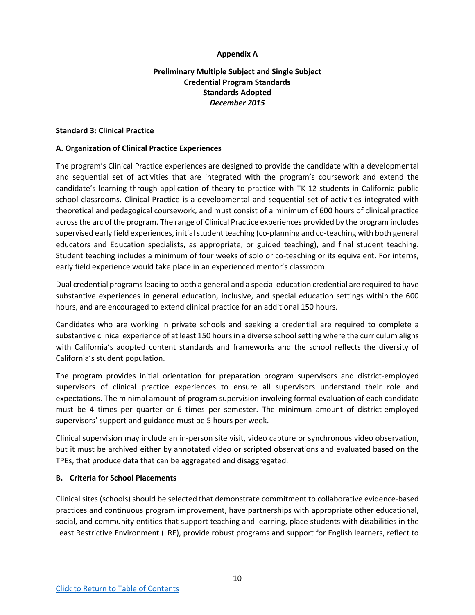## <span id="page-9-3"></span>**Appendix A**

# **Preliminary Multiple Subject and Single Subject Credential Program Standards Standards Adopted** *December 2015*

#### <span id="page-9-1"></span><span id="page-9-0"></span>**Standard 3: Clinical Practice**

### **A. Organization of Clinical Practice Experiences**

<span id="page-9-2"></span>The program's Clinical Practice experiences are designed to provide the candidate with a developmental and sequential set of activities that are integrated with the program's coursework and extend the candidate's learning through application of theory to practice with TK-12 students in California public school classrooms. Clinical Practice is a developmental and sequential set of activities integrated with theoretical and pedagogical coursework, and must consist of a minimum of 600 hours of clinical practice across the arc of the program. The range of Clinical Practice experiences provided by the program includes supervised early field experiences, initial student teaching (co-planning and co-teaching with both general educators and Education specialists, as appropriate, or guided teaching), and final student teaching. Student teaching includes a minimum of four weeks of solo or co-teaching or its equivalent. For interns, early field experience would take place in an experienced mentor's classroom.

<span id="page-9-4"></span>Dual credential programs leading to both a general and a special education credential are required to have substantive experiences in general education, inclusive, and special education settings within the 600 hours, and are encouraged to extend clinical practice for an additional 150 hours.

<span id="page-9-5"></span>Candidates who are working in private schools and seeking a credential are required to complete a substantive clinical experience of at least 150 hours in a diverse school setting where the curriculum aligns with California's adopted content standards and frameworks and the school reflects the diversity of California's student population.

<span id="page-9-6"></span>The program provides initial orientation for preparation program supervisors and district-employed supervisors of clinical practice experiences to ensure all supervisors understand their role and expectations. The minimal amount of program supervision involving formal evaluation of each candidate must be 4 times per quarter or 6 times per semester. The minimum amount of district-employed supervisors' support and guidance must be 5 hours per week.

<span id="page-9-8"></span><span id="page-9-7"></span>Clinical supervision may include an in-person site visit, video capture or synchronous video observation, but it must be archived either by annotated video or scripted observations and evaluated based on the TPEs, that produce data that can be aggregated and disaggregated.

### **B. Criteria for School Placements**

Clinical sites (schools) should be selected that demonstrate commitment to collaborative evidence-based practices and continuous program improvement, have partnerships with appropriate other educational, social, and community entities that support teaching and learning, place students with disabilities in the Least Restrictive Environment (LRE), provide robust programs and support for English learners, reflect to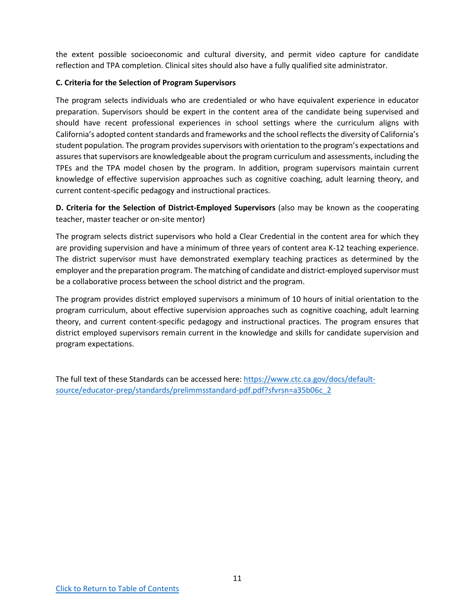<span id="page-10-1"></span>the extent possible socioeconomic and cultural diversity, and permit video capture for candidate reflection and TPA completion. Clinical sites should also have a fully qualified site administrator.

## **C. Criteria for the Selection of Program Supervisors**

<span id="page-10-0"></span>The program selects individuals who are credentialed or who have equivalent experience in educator preparation. Supervisors should be expert in the content area of the candidate being supervised and should have recent professional experiences in school settings where the curriculum aligns with California's adopted content standards and frameworks and the school reflects the diversity of California's student population. The program provides supervisors with orientation to the program's expectations and assures that supervisors are knowledgeable about the program curriculum and assessments, including the TPEs and the TPA model chosen by the program. In addition, program supervisors maintain current knowledge of effective supervision approaches such as cognitive coaching, adult learning theory, and current content-specific pedagogy and instructional practices.

**D. Criteria for the Selection of District-Employed Supervisors** (also may be known as the cooperating teacher, master teacher or on-site mentor)

The program selects district supervisors who hold a Clear Credential in the content area for which they are providing supervision and have a minimum of three years of content area K-12 teaching experience. The district supervisor must have demonstrated exemplary teaching practices as determined by the employer and the preparation program. The matching of candidate and district-employed supervisor must be a collaborative process between the school district and the program.

The program provides district employed supervisors a minimum of 10 hours of initial orientation to the program curriculum, about effective supervision approaches such as cognitive coaching, adult learning theory, and current content-specific pedagogy and instructional practices. The program ensures that district employed supervisors remain current in the knowledge and skills for candidate supervision and program expectations.

The full text of these Standards can be accessed here: [https://www.ctc.ca.gov/docs/default](https://www.ctc.ca.gov/docs/default-source/educator-prep/standards/prelimmsstandard-pdf.pdf?sfvrsn=a35b06c_2)[source/educator-prep/standards/prelimmsstandard-pdf.pdf?sfvrsn=a35b06c\\_2](https://www.ctc.ca.gov/docs/default-source/educator-prep/standards/prelimmsstandard-pdf.pdf?sfvrsn=a35b06c_2)